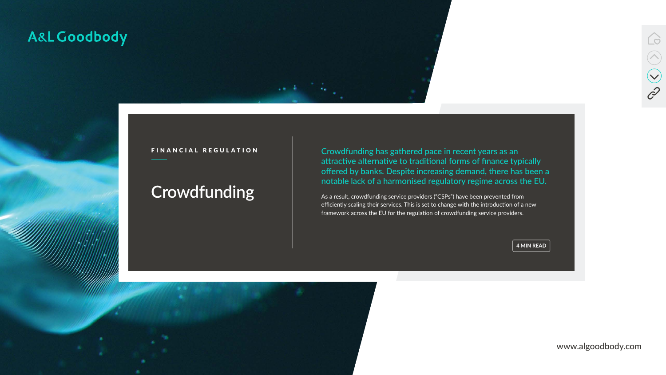www.algoodbody.com



### A&L Goodbody

# **Crowdfunding**



FINANCIAL REGULATION Crowdfunding has gathered pace in recent years as an attractive alternative to traditional forms of finance typically offered by banks. Despite increasing demand, there has been a notable lack of a harmonised regulatory regime across the EU.

> As a result, crowdfunding service providers ("CSPs") have been prevented from efficiently scaling their services. This is set to change with the introduction of a new framework across the EU for the regulation of crowdfunding service providers.

> > **4 MIN READ**

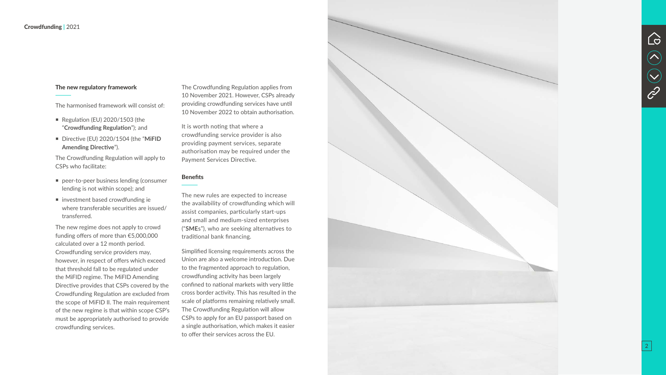The Crowdfunding Regulation applies from 10 November 2021. However, CSPs already providing crowdfunding services have until 10 November 2022 to obtain authorisation.

It is worth noting that where a crowdfunding service provider is also providing payment services, separate authorisation may be required under the Payment Services Directive.

#### **Benefits**

The new rules are expected to increase the availability of crowdfunding which will assist companies, particularly start-ups and small and medium-sized enterprises ("**SME**s"), who are seeking alternatives to traditional bank financing.

- Regulation (EU)  $2020/1503$  (the "**Crowdfunding Regulation**"); and
- Directive (EU) 2020/1504 (the "**MiFID Amending Directive**").

- peer-to-peer business lending (consumer lending is not within scope); and
- **n** investment based crowdfunding ie where transferable securities are issued/ transferred.

Simplified licensing requirements across the Union are also a welcome introduction. Due to the fragmented approach to regulation, crowdfunding activity has been largely confined to national markets with very little cross border activity. This has resulted in the scale of platforms remaining relatively small. The Crowdfunding Regulation will allow CSPs to apply for an EU passport based on a single authorisation, which makes it easier to offer their services across the EU.







#### The new regulatory framework

The harmonised framework will consist of:

The Crowdfunding Regulation will apply to CSPs who facilitate:

The new regime does not apply to crowd funding offers of more than €5,000,000 calculated over a 12 month period. Crowdfunding service providers may, however, in respect of offers which exceed that threshold fall to be regulated under the MiFID regime. The MiFID Amending Directive provides that CSPs covered by the Crowdfunding Regulation are excluded from the scope of MiFID II. The main requirement of the new regime is that within scope CSP's must be appropriately authorised to provide crowdfunding services.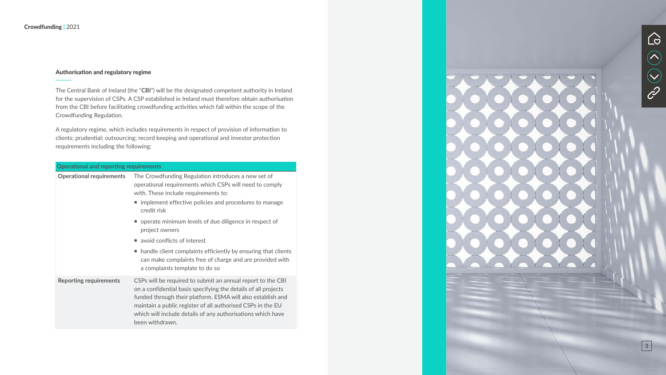#### Authorisation and regulatory regime

The Central Bank of Ireland (the "**CBI**") will be the designated competent authority in Ireland for the supervision of CSPs. A CSP established in Ireland must therefore obtain authorisation from the CBI before facilitating crowdfunding activities which fall within the scope of the Crowdfunding Regulation.

A regulatory regime, which includes requirements in respect of provision of information to clients; prudential; outsourcing; record keeping and operational and investor protection requirements including the following:

| <b>Operational and reporting requirements</b> |                                                                                                                                                                                                                                                                                                                                               |
|-----------------------------------------------|-----------------------------------------------------------------------------------------------------------------------------------------------------------------------------------------------------------------------------------------------------------------------------------------------------------------------------------------------|
| <b>Operational requirements</b>               | The Crowdfunding Regulation introduces a new set of<br>operational requirements which CSPs will need to comply<br>with. These include requirements to:<br>■ implement effective policies and procedures to manage<br>credit risk                                                                                                              |
|                                               | ■ operate minimum levels of due diligence in respect of<br>project owners                                                                                                                                                                                                                                                                     |
|                                               | ■ avoid conflicts of interest                                                                                                                                                                                                                                                                                                                 |
|                                               | • handle client complaints efficiently by ensuring that clients<br>can make complaints free of charge and are provided with<br>a complaints template to do so                                                                                                                                                                                 |
| <b>Reporting requirements</b>                 | CSPs will be required to submit an annual report to the CBI<br>on a confidential basis specifying the details of all projects<br>funded through their platform. ESMA will also establish and<br>maintain a public register of all authorised CSPs in the EU<br>which will include details of any authorisations which have<br>been withdrawn. |



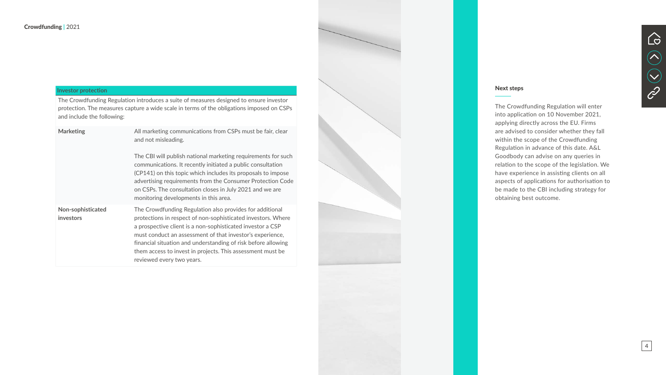

#### Next steps

The Crowdfunding Regulation will enter into application on 10 November 2021, applying directly across the EU. Firms are advised to consider whether they fall within the scope of the Crowdfunding Regulation in advance of this date. A&L Goodbody can advise on any queries in relation to the scope of the legislation. We have experience in assisting clients on all aspects of applications for authorisation to be made to the CBI including strategy for obtaining best outcome.



### **Investor protection**

The Crowdfunding Regulation introduces a suite of measures designed to ensure investor protection. The measures capture a wide scale in terms of the obligations imposed on CSPs and include the following:

| <b>Marketing</b>                      | All marketing communications from CSPs must be fair, clear<br>and not misleading.<br>The CBI will publish national marketing requirements for such                                                                                                                                                                                                                                                              |
|---------------------------------------|-----------------------------------------------------------------------------------------------------------------------------------------------------------------------------------------------------------------------------------------------------------------------------------------------------------------------------------------------------------------------------------------------------------------|
|                                       | communications. It recently initiated a public consultation<br>(CP141) on this topic which includes its proposals to impose<br>advertising requirements from the Consumer Protection Code<br>on CSPs. The consultation closes in July 2021 and we are<br>monitoring developments in this area.                                                                                                                  |
| Non-sophisticated<br><b>investors</b> | The Crowdfunding Regulation also provides for additional<br>protections in respect of non-sophisticated investors. Where<br>a prospective client is a non-sophisticated investor a CSP<br>must conduct an assessment of that investor's experience,<br>financial situation and understanding of risk before allowing<br>them access to invest in projects. This assessment must be<br>reviewed every two years. |